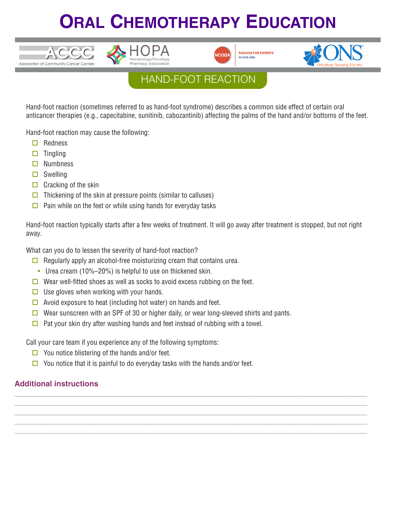# **ORAL CHEMOTHERAPY EDUCATION**







## HAND-FOOT REACTION

Hand-foot reaction (sometimes referred to as hand-foot syndrome) describes a common side effect of certain oral anticancer therapies (e.g., capecitabine, sunitinib, cabozantinib) affecting the palms of the hand and/or bottoms of the feet.

Hand-foot reaction may cause the following:

- $\Box$  Redness
- $\square$  Tingling
- $\square$  Numbness
- $\square$  Swelling
- $\Box$  Cracking of the skin

 $TCCC$ 

Association of Community Cancer Centers

- $\Box$  Thickening of the skin at pressure points (similar to calluses)
- $\Box$  Pain while on the feet or while using hands for everyday tasks

Hand-foot reaction typically starts after a few weeks of treatment. It will go away after treatment is stopped, but not right away.

**\_\_\_\_\_\_\_\_\_\_\_\_\_\_\_\_\_\_\_\_\_\_\_\_\_\_\_\_\_\_\_\_\_\_\_\_\_\_\_\_\_\_\_\_\_\_\_\_\_\_\_\_\_\_\_\_\_\_\_\_\_\_\_\_\_\_\_\_\_\_\_\_\_\_\_\_\_\_\_\_\_\_ \_\_\_\_\_\_\_\_\_\_\_\_\_\_\_\_\_\_\_\_\_\_\_\_\_\_\_\_\_\_\_\_\_\_\_\_\_\_\_\_\_\_\_\_\_\_\_\_\_\_\_\_\_\_\_\_\_\_\_\_\_\_\_\_\_\_\_\_\_\_\_\_\_\_\_\_\_\_\_\_\_\_ \_\_\_\_\_\_\_\_\_\_\_\_\_\_\_\_\_\_\_\_\_\_\_\_\_\_\_\_\_\_\_\_\_\_\_\_\_\_\_\_\_\_\_\_\_\_\_\_\_\_\_\_\_\_\_\_\_\_\_\_\_\_\_\_\_\_\_\_\_\_\_\_\_\_\_\_\_\_\_\_\_\_ \_\_\_\_\_\_\_\_\_\_\_\_\_\_\_\_\_\_\_\_\_\_\_\_\_\_\_\_\_\_\_\_\_\_\_\_\_\_\_\_\_\_\_\_\_\_\_\_\_\_\_\_\_\_\_\_\_\_\_\_\_\_\_\_\_\_\_\_\_\_\_\_\_\_\_\_\_\_\_\_\_\_ \_\_\_\_\_\_\_\_\_\_\_\_\_\_\_\_\_\_\_\_\_\_\_\_\_\_\_\_\_\_\_\_\_\_\_\_\_\_\_\_\_\_\_\_\_\_\_\_\_\_\_\_\_\_\_\_\_\_\_\_\_\_\_\_\_\_\_\_\_\_\_\_\_\_\_\_\_\_\_\_\_\_**

What can you do to lessen the severity of hand-foot reaction?

- $\Box$  Regularly apply an alcohol-free moisturizing cream that contains urea.
- Urea cream (10%–20%) is helpful to use on thickened skin.
- $\Box$  Wear well-fitted shoes as well as socks to avoid excess rubbing on the feet.
- $\Box$  Use gloves when working with your hands.
- $\Box$  Avoid exposure to heat (including hot water) on hands and feet.
- **D** Wear sunscreen with an SPF of 30 or higher daily, or wear long-sleeved shirts and pants.
- $\Box$  Pat your skin dry after washing hands and feet instead of rubbing with a towel.

Call your care team if you experience any of the following symptoms:

- $\Box$  You notice blistering of the hands and/or feet.
- $\Box$  You notice that it is painful to do everyday tasks with the hands and/or feet.

#### **Additional instructions**